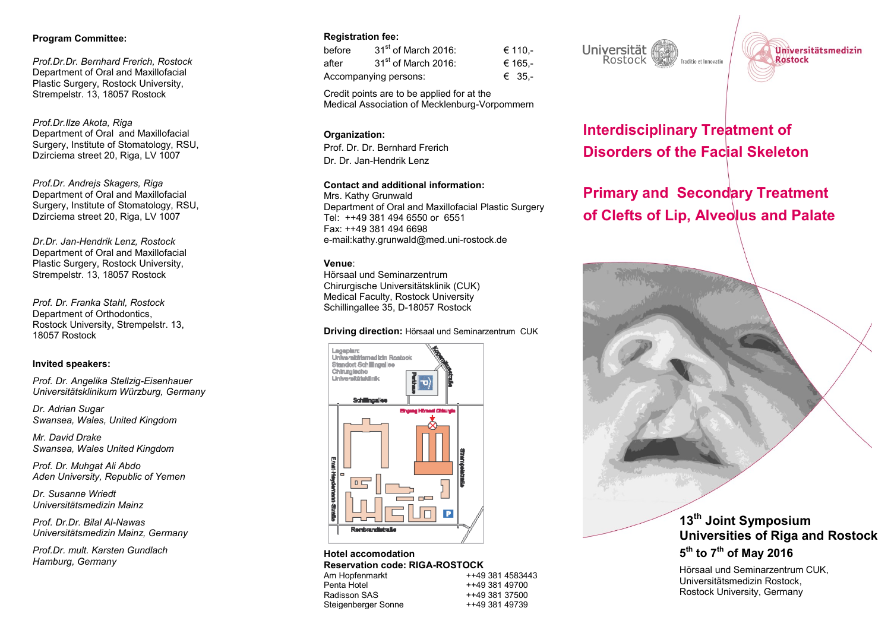### **Program Committee:**

*Prof.Dr.Dr. Bernhard Frerich, Rostock*  Department of Oral and Maxillofacial Plastic Surgery, Rostock University, Strempelstr. 13, 18057 Rostock

*Prof.Dr.Ilze Akota, Riga*  Department of Oral and Maxillofacial Surgery, Institute of Stomatology, RSU, Dzirciema street 20, Riga, LV 1007

*Prof.Dr. Andrejs Skagers, Riga* Department of Oral and Maxillofacial Surgery, Institute of Stomatology, RSU, Dzirciema street 20, Riga, LV 1007

*Dr.Dr. Jan-Hendrik Lenz, Rostock*  Department of Oral and Maxillofacial Plastic Surgery, Rostock University, Strempelstr. 13, 18057 Rostock

*Prof. Dr. Franka Stahl, Rostock*  Department of Orthodontics, Rostock University, Strempelstr. 13, 18057 Rostock

#### **Invited speakers:**

*Prof. Dr. Angelika Stellzig-Eisenhauer Universitätsklinikum Würzburg, Germany*

*Dr. Adrian Sugar Swansea, Wales, United Kingdom*

*Mr. David Drake Swansea, Wales United Kingdom*

*Prof. Dr. Muhgat Ali Abdo Aden University, Republic of Yemen*

*Dr. Susanne Wriedt Universitätsmedizin Mainz*

*Prof. Dr.Dr. Bilal Al-Nawas Universitätsmedizin Mainz, Germany* 

*Prof.Dr. mult. Karsten Gundlach Hamburg, Germany*

### **Registration fee:**

| before                | 31 <sup>st</sup> of March 2016: | € 110.- |
|-----------------------|---------------------------------|---------|
| after                 | $31st$ of March 2016:           | € 165.- |
| Accompanying persons: |                                 | € 35.-  |

Credit points are to be applied for at the Medical Association of Mecklenburg-Vorpommern

## **Organization:**

Prof. Dr. Dr. Bernhard Frerich Dr. Dr. Jan-Hendrik Lenz

#### **Contact and additional information:**

Mrs. Kathy Grunwald Department of Oral and Maxillofacial Plastic Surgery Tel: ++49 381 494 6550 or 6551 Fax: ++49 381 494 6698 e-mail:kathy.grunwald@med.uni-rostock.de

### **Venue**:

Hörsaal und Seminarzentrum Chirurgische Universitätsklinik (CUK) Medical Faculty, Rostock University Schillingallee 35, D-18057 Rostock

#### **Driving direction:** Hörsaal und Seminarzentrum CUK



**Hotel accomodation Reservation code: RIGA-ROSTOCK**<br>Am Hopfenmarkt<br>++49 Am Hopfenmarkt ++49 381 4583443<br>
Penta Hotel ++49 381 49700 ++49 381 49700 Radisson SAS ++49 381 37500 Steigenberger Sonne

Universität Rostock Traditio et Innovatio



**Interdisciplinary Treatment of Disorders of the Facial Skeleton**

# **Primary and Secondary Treatment of Clefts of Lip, Alveolus and Palate**

# **13 th Joint Symposium Universities of Riga and Rostock**

# **5 th to 7 th of May 2016**

Hörsaal und Seminarzentrum CUK, Universitätsmedizin Rostock, Rostock University, Germany